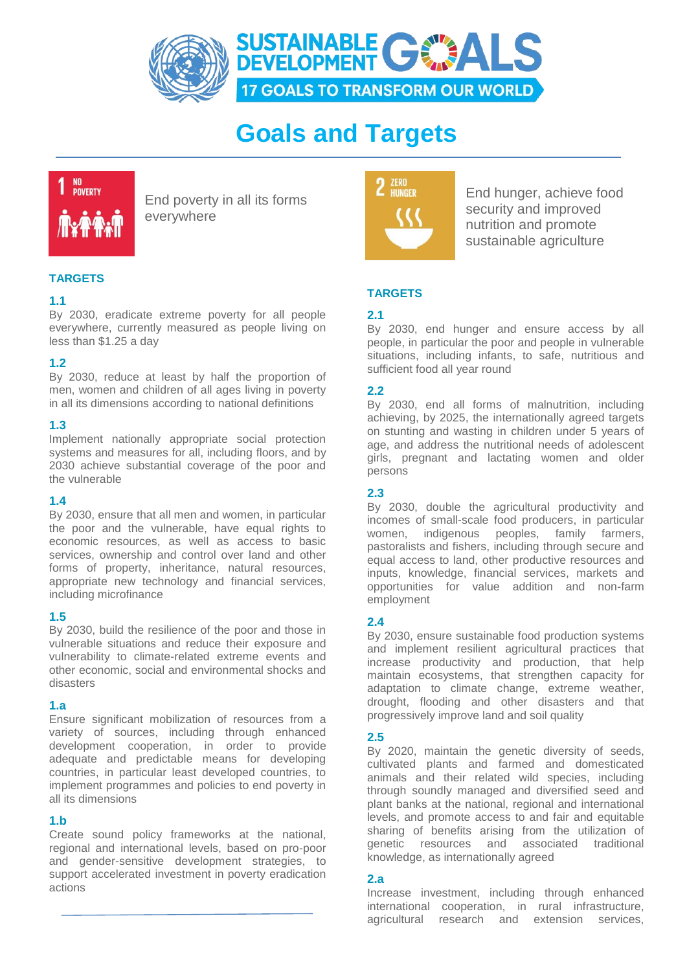

# **Goals and Targets**



End poverty in all its forms everywhere



End hunger, achieve food security and improved nutrition and promote sustainable agriculture

# **TARGETS**

# **2.1**

By 2030, end hunger and ensure access by all people, in particular the poor and people in vulnerable situations, including infants, to safe, nutritious and sufficient food all year round

# **2.2**

By 2030, end all forms of malnutrition, including achieving, by 2025, the internationally agreed targets on stunting and wasting in children under 5 years of age, and address the nutritional needs of adolescent girls, pregnant and lactating women and older persons

# **2.3**

By 2030, double the agricultural productivity and incomes of small-scale food producers, in particular women, indigenous peoples, family farmers, pastoralists and fishers, including through secure and equal access to land, other productive resources and inputs, knowledge, financial services, markets and opportunities for value addition and non-farm employment

## **2.4**

By 2030, ensure sustainable food production systems and implement resilient agricultural practices that increase productivity and production, that help maintain ecosystems, that strengthen capacity for adaptation to climate change, extreme weather, drought, flooding and other disasters and that progressively improve land and soil quality

## **2.5**

By 2020, maintain the genetic diversity of seeds, cultivated plants and farmed and domesticated animals and their related wild species, including through soundly managed and diversified seed and plant banks at the national, regional and international levels, and promote access to and fair and equitable sharing of benefits arising from the utilization of genetic resources and associated traditional knowledge, as internationally agreed

#### **2.a**

Increase investment, including through enhanced international cooperation, in rural infrastructure, agricultural research and extension services,

# **TARGETS**

# **1.1**

By 2030, eradicate extreme poverty for all people everywhere, currently measured as people living on less than \$1.25 a day

# **1.2**

By 2030, reduce at least by half the proportion of men, women and children of all ages living in poverty in all its dimensions according to national definitions

# **1.3**

Implement nationally appropriate social protection systems and measures for all, including floors, and by 2030 achieve substantial coverage of the poor and the vulnerable

# **1.4**

By 2030, ensure that all men and women, in particular the poor and the vulnerable, have equal rights to economic resources, as well as access to basic services, ownership and control over land and other forms of property, inheritance, natural resources, appropriate new technology and financial services, including microfinance

# **1.5**

By 2030, build the resilience of the poor and those in vulnerable situations and reduce their exposure and vulnerability to climate-related extreme events and other economic, social and environmental shocks and disasters

# **1.a**

Ensure significant mobilization of resources from a variety of sources, including through enhanced development cooperation, in order to provide adequate and predictable means for developing countries, in particular least developed countries, to implement programmes and policies to end poverty in all its dimensions

# **1.b**

Create sound policy frameworks at the national, regional and international levels, based on pro-poor and gender-sensitive development strategies, to support accelerated investment in poverty eradication actions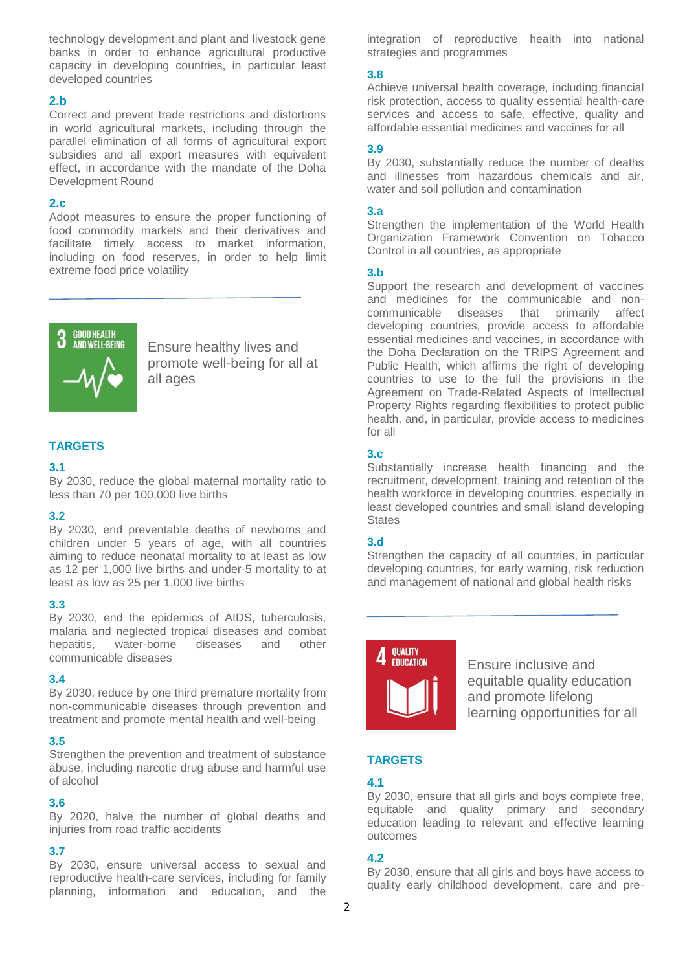technology development and plant and livestock gene banks in order to enhance agricultural productive capacity in developing countries, in particular least developed countries

#### **2.b**

Correct and prevent trade restrictions and distortions in world agricultural markets, including through the parallel elimination of all forms of agricultural export subsidies and all export measures with equivalent effect, in accordance with the mandate of the Doha Development Round

#### **2.c**

Adopt measures to ensure the proper functioning of food commodity markets and their derivatives and facilitate timely access to market information, including on food reserves, in order to help limit extreme food price volatility



Ensure healthy lives and promote well-being for all at all ages

## **TARGETS**

#### **3.1**

By 2030, reduce the global maternal mortality ratio to less than 70 per 100,000 live births

## **3.2**

By 2030, end preventable deaths of newborns and children under 5 years of age, with all countries aiming to reduce neonatal mortality to at least as low as 12 per 1,000 live births and under-5 mortality to at least as low as 25 per 1,000 live births

#### **3.3**

By 2030, end the epidemics of AIDS, tuberculosis, malaria and neglected tropical diseases and combat hepatitis, water-borne diseases and other communicable diseases

#### **3.4**

By 2030, reduce by one third premature mortality from non-communicable diseases through prevention and treatment and promote mental health and well-being

## **3.5**

Strengthen the prevention and treatment of substance abuse, including narcotic drug abuse and harmful use of alcohol

## **3.6**

By 2020, halve the number of global deaths and injuries from road traffic accidents

## **3.7**

By 2030, ensure universal access to sexual and reproductive health-care services, including for family planning, information and education, and the integration of reproductive health into national strategies and programmes

#### **3.8**

Achieve universal health coverage, including financial risk protection, access to quality essential health-care services and access to safe, effective, quality and affordable essential medicines and vaccines for all

#### **3.9**

By 2030, substantially reduce the number of deaths and illnesses from hazardous chemicals and air, water and soil pollution and contamination

#### **3.a**

Strengthen the implementation of the World Health Organization Framework Convention on Tobacco Control in all countries, as appropriate

#### **3.b**

Support the research and development of vaccines and medicines for the communicable and noncommunicable diseases that primarily affect developing countries, provide access to affordable essential medicines and vaccines, in accordance with the Doha Declaration on the TRIPS Agreement and Public Health, which affirms the right of developing countries to use to the full the provisions in the Agreement on Trade-Related Aspects of Intellectual Property Rights regarding flexibilities to protect public health, and, in particular, provide access to medicines for all

## **3.c**

Substantially increase health financing and the recruitment, development, training and retention of the health workforce in developing countries, especially in least developed countries and small island developing **States** 

## **3.d**

Strengthen the capacity of all countries, in particular developing countries, for early warning, risk reduction and management of national and global health risks



Ensure inclusive and equitable quality education and promote lifelong learning opportunities for all

# **TARGETS**

# **4.1**

By 2030, ensure that all girls and boys complete free, equitable and quality primary and secondary education leading to relevant and effective learning outcomes

## **4.2**

By 2030, ensure that all girls and boys have access to quality early childhood development, care and pre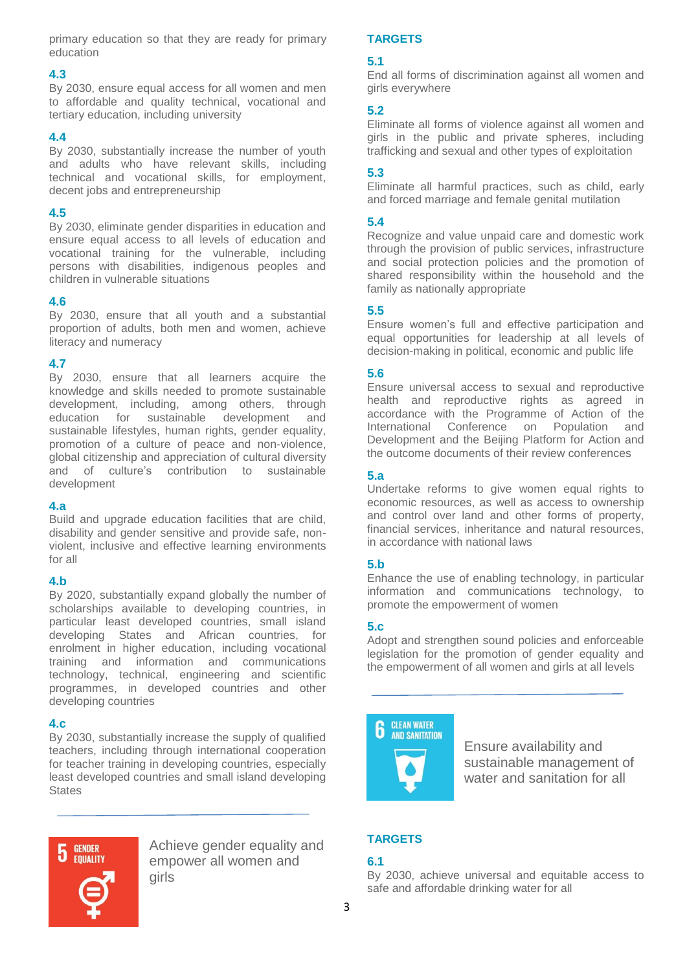primary education so that they are ready for primary education

## **4.3**

By 2030, ensure equal access for all women and men to affordable and quality technical, vocational and tertiary education, including university

# **4.4**

By 2030, substantially increase the number of youth and adults who have relevant skills, including technical and vocational skills, for employment, decent jobs and entrepreneurship

# **4.5**

By 2030, eliminate gender disparities in education and ensure equal access to all levels of education and vocational training for the vulnerable, including persons with disabilities, indigenous peoples and children in vulnerable situations

# **4.6**

By 2030, ensure that all youth and a substantial proportion of adults, both men and women, achieve literacy and numeracy

# **4.7**

By 2030, ensure that all learners acquire the knowledge and skills needed to promote sustainable development, including, among others, through education for sustainable development and sustainable lifestyles, human rights, gender equality, promotion of a culture of peace and non-violence, global citizenship and appreciation of cultural diversity and of culture's contribution to sustainable development

# **4.a**

Build and upgrade education facilities that are child, disability and gender sensitive and provide safe, nonviolent, inclusive and effective learning environments for all

# **4.b**

By 2020, substantially expand globally the number of scholarships available to developing countries, in particular least developed countries, small island developing States and African countries, for enrolment in higher education, including vocational training and information and communications technology, technical, engineering and scientific programmes, in developed countries and other developing countries

# **4.c**

By 2030, substantially increase the supply of qualified teachers, including through international cooperation for teacher training in developing countries, especially least developed countries and small island developing **States** 



Achieve gender equality and empower all women and girls

# **TARGETS**

# **5.1**

End all forms of discrimination against all women and girls everywhere

# **5.2**

Eliminate all forms of violence against all women and girls in the public and private spheres, including trafficking and sexual and other types of exploitation

# **5.3**

Eliminate all harmful practices, such as child, early and forced marriage and female genital mutilation

# **5.4**

Recognize and value unpaid care and domestic work through the provision of public services, infrastructure and social protection policies and the promotion of shared responsibility within the household and the family as nationally appropriate

# **5.5**

Ensure women's full and effective participation and equal opportunities for leadership at all levels of decision-making in political, economic and public life

# **5.6**

Ensure universal access to sexual and reproductive health and reproductive rights as agreed in accordance with the Programme of Action of the International Conference on Population and Development and the Beijing Platform for Action and the outcome documents of their review conferences

# **5.a**

Undertake reforms to give women equal rights to economic resources, as well as access to ownership and control over land and other forms of property, financial services, inheritance and natural resources, in accordance with national laws

# **5.b**

Enhance the use of enabling technology, in particular information and communications technology, to promote the empowerment of women

# **5.c**

Adopt and strengthen sound policies and enforceable legislation for the promotion of gender equality and the empowerment of all women and girls at all levels

**CLEAN WATER AND SANITATION** 

Ensure availability and sustainable management of water and sanitation for all

# **TARGETS**

# **6.1**

By 2030, achieve universal and equitable access to safe and affordable drinking water for all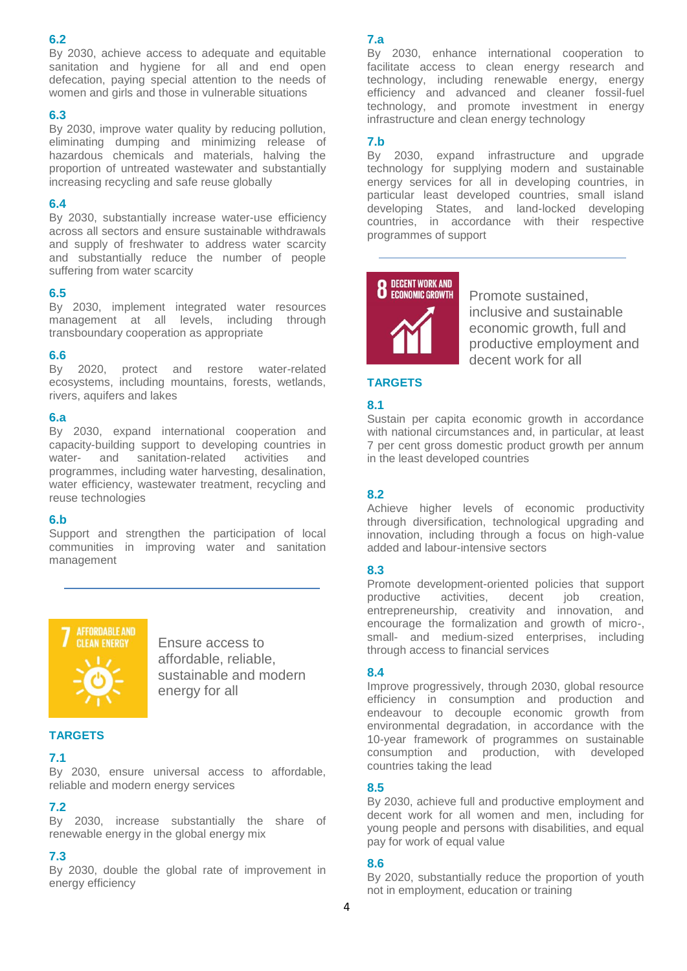By 2030, achieve access to adequate and equitable sanitation and hygiene for all and end open defecation, paying special attention to the needs of women and girls and those in vulnerable situations

## **6.3**

By 2030, improve water quality by reducing pollution, eliminating dumping and minimizing release of hazardous chemicals and materials, halving the proportion of untreated wastewater and substantially increasing recycling and safe reuse globally

#### **6.4**

By 2030, substantially increase water-use efficiency across all sectors and ensure sustainable withdrawals and supply of freshwater to address water scarcity and substantially reduce the number of people suffering from water scarcity

#### **6.5**

By 2030, implement integrated water resources management at all levels, including through transboundary cooperation as appropriate

#### **6.6**

By 2020, protect and restore water-related ecosystems, including mountains, forests, wetlands, rivers, aquifers and lakes

#### **6.a**

By 2030, expand international cooperation and capacity-building support to developing countries in water- and sanitation-related activities and programmes, including water harvesting, desalination, water efficiency, wastewater treatment, recycling and reuse technologies

#### **6.b**

Support and strengthen the participation of local communities in improving water and sanitation management



Ensure access to affordable, reliable, sustainable and modern energy for all

#### **TARGETS**

## **7.1**

By 2030, ensure universal access to affordable, reliable and modern energy services

#### **7.2**

By 2030, increase substantially the share of renewable energy in the global energy mix

## **7.3**

By 2030, double the global rate of improvement in energy efficiency

## **7.a**

By 2030, enhance international cooperation to facilitate access to clean energy research and technology, including renewable energy, energy efficiency and advanced and cleaner fossil-fuel technology, and promote investment in energy infrastructure and clean energy technology

## **7.b**

By 2030, expand infrastructure and upgrade technology for supplying modern and sustainable energy services for all in developing countries, in particular least developed countries, small island developing States, and land-locked developing countries, in accordance with their respective programmes of support



Promote sustained, inclusive and sustainable economic growth, full and productive employment and decent work for all

## **TARGETS**

#### **8.1**

Sustain per capita economic growth in accordance with national circumstances and, in particular, at least 7 per cent gross domestic product growth per annum in the least developed countries

## **8.2**

Achieve higher levels of economic productivity through diversification, technological upgrading and innovation, including through a focus on high-value added and labour-intensive sectors

## **8.3**

Promote development-oriented policies that support productive activities, decent job creation, entrepreneurship, creativity and innovation, and encourage the formalization and growth of micro-, small- and medium-sized enterprises, including through access to financial services

#### **8.4**

Improve progressively, through 2030, global resource efficiency in consumption and production and endeavour to decouple economic growth from environmental degradation, in accordance with the 10-year framework of programmes on sustainable consumption and production, with developed countries taking the lead

## **8.5**

By 2030, achieve full and productive employment and decent work for all women and men, including for young people and persons with disabilities, and equal pay for work of equal value

## **8.6**

By 2020, substantially reduce the proportion of youth not in employment, education or training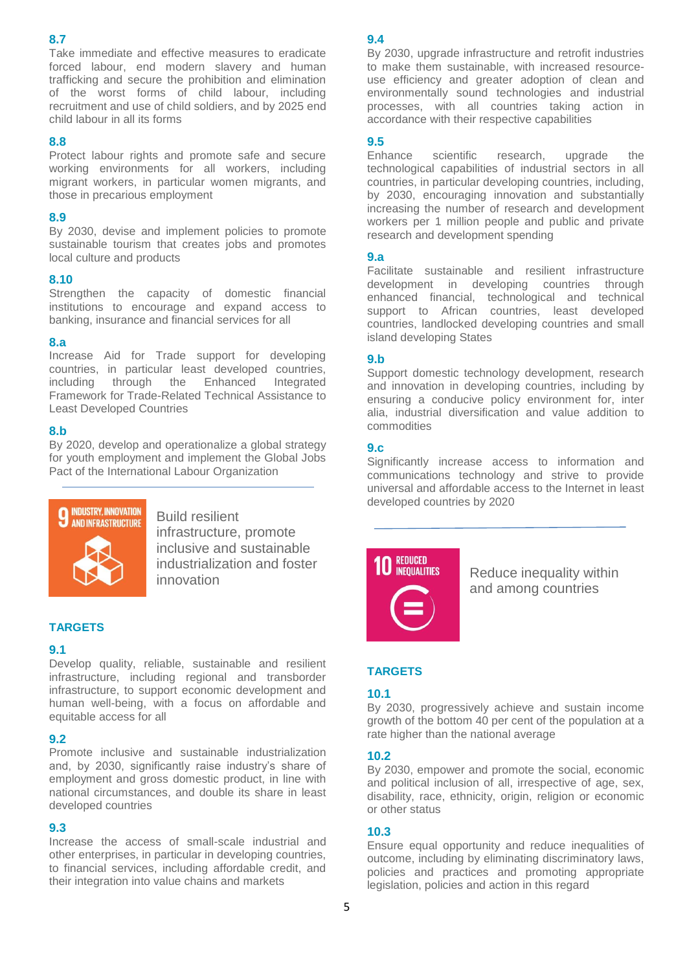Take immediate and effective measures to eradicate forced labour, end modern slavery and human trafficking and secure the prohibition and elimination of the worst forms of child labour, including recruitment and use of child soldiers, and by 2025 end child labour in all its forms

#### **8.8**

Protect labour rights and promote safe and secure working environments for all workers, including migrant workers, in particular women migrants, and those in precarious employment

#### **8.9**

By 2030, devise and implement policies to promote sustainable tourism that creates jobs and promotes local culture and products

## **8.10**

Strengthen the capacity of domestic financial institutions to encourage and expand access to banking, insurance and financial services for all

#### **8.a**

Increase Aid for Trade support for developing countries, in particular least developed countries, including through the Enhanced Integrated Framework for Trade-Related Technical Assistance to Least Developed Countries

#### **8.b**

By 2020, develop and operationalize a global strategy for youth employment and implement the Global Jobs Pact of the International Labour Organization



Build resilient infrastructure, promote inclusive and sustainable industrialization and foster innovation

# **TARGETS**

#### **9.1**

Develop quality, reliable, sustainable and resilient infrastructure, including regional and transborder infrastructure, to support economic development and human well-being, with a focus on affordable and equitable access for all

## **9.2**

Promote inclusive and sustainable industrialization and, by 2030, significantly raise industry's share of employment and gross domestic product, in line with national circumstances, and double its share in least developed countries

## **9.3**

Increase the access of small-scale industrial and other enterprises, in particular in developing countries, to financial services, including affordable credit, and their integration into value chains and markets

## **9.4**

By 2030, upgrade infrastructure and retrofit industries to make them sustainable, with increased resourceuse efficiency and greater adoption of clean and environmentally sound technologies and industrial processes, with all countries taking action in accordance with their respective capabilities

## **9.5**

Enhance scientific research, upgrade the technological capabilities of industrial sectors in all countries, in particular developing countries, including, by 2030, encouraging innovation and substantially increasing the number of research and development workers per 1 million people and public and private research and development spending

#### **9.a**

Facilitate sustainable and resilient infrastructure development in developing countries through enhanced financial, technological and technical support to African countries, least developed countries, landlocked developing countries and small island developing States

#### **9.b**

Support domestic technology development, research and innovation in developing countries, including by ensuring a conducive policy environment for, inter alia, industrial diversification and value addition to commodities

# **9.c**

Significantly increase access to information and communications technology and strive to provide universal and affordable access to the Internet in least developed countries by 2020



Reduce inequality within and among countries

## **TARGETS**

## **10.1**

By 2030, progressively achieve and sustain income growth of the bottom 40 per cent of the population at a rate higher than the national average

## **10.2**

By 2030, empower and promote the social, economic and political inclusion of all, irrespective of age, sex, disability, race, ethnicity, origin, religion or economic or other status

## **10.3**

Ensure equal opportunity and reduce inequalities of outcome, including by eliminating discriminatory laws, policies and practices and promoting appropriate legislation, policies and action in this regard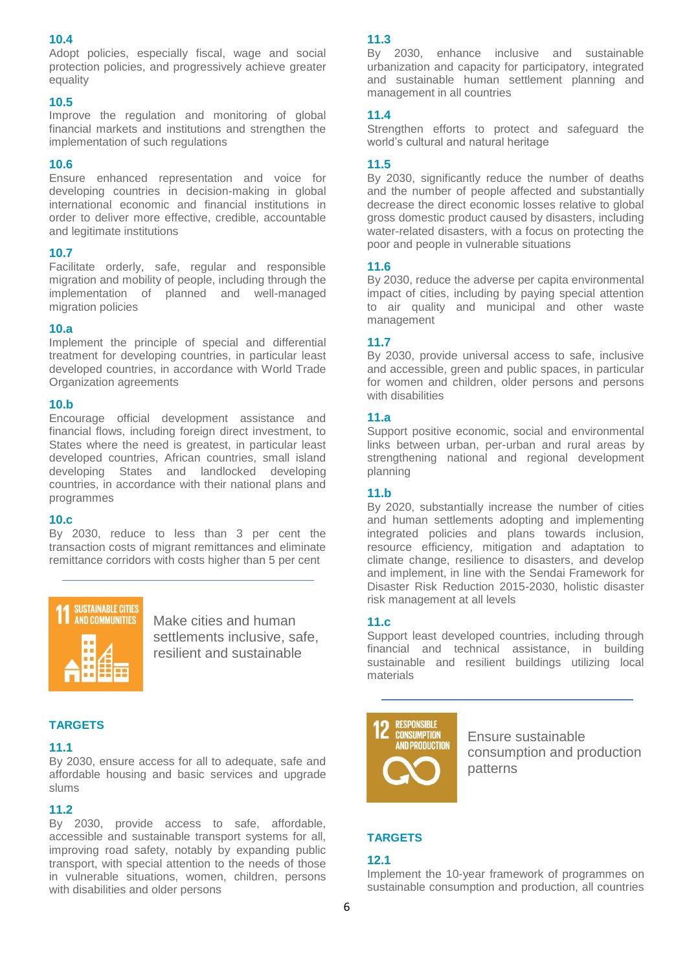Adopt policies, especially fiscal, wage and social protection policies, and progressively achieve greater equality

#### **10.5**

Improve the regulation and monitoring of global financial markets and institutions and strengthen the implementation of such regulations

## **10.6**

Ensure enhanced representation and voice for developing countries in decision-making in global international economic and financial institutions in order to deliver more effective, credible, accountable and legitimate institutions

## **10.7**

Facilitate orderly, safe, regular and responsible migration and mobility of people, including through the implementation of planned and well-managed migration policies

## **10.a**

Implement the principle of special and differential treatment for developing countries, in particular least developed countries, in accordance with World Trade Organization agreements

#### **10.b**

Encourage official development assistance and financial flows, including foreign direct investment, to States where the need is greatest, in particular least developed countries, African countries, small island developing States and landlocked developing countries, in accordance with their national plans and programmes

## **10.c**

By 2030, reduce to less than 3 per cent the transaction costs of migrant remittances and eliminate remittance corridors with costs higher than 5 per cent



Make cities and human settlements inclusive, safe, resilient and sustainable

## **TARGETS**

#### **11.1**

By 2030, ensure access for all to adequate, safe and affordable housing and basic services and upgrade slums

# **11.2**

By 2030, provide access to safe, affordable, accessible and sustainable transport systems for all, improving road safety, notably by expanding public transport, with special attention to the needs of those in vulnerable situations, women, children, persons with disabilities and older persons

## **11.3**

By 2030, enhance inclusive and sustainable urbanization and capacity for participatory, integrated and sustainable human settlement planning and management in all countries

## **11.4**

Strengthen efforts to protect and safeguard the world's cultural and natural heritage

## **11.5**

By 2030, significantly reduce the number of deaths and the number of people affected and substantially decrease the direct economic losses relative to global gross domestic product caused by disasters, including water-related disasters, with a focus on protecting the poor and people in vulnerable situations

## **11.6**

By 2030, reduce the adverse per capita environmental impact of cities, including by paying special attention to air quality and municipal and other waste management

## **11.7**

By 2030, provide universal access to safe, inclusive and accessible, green and public spaces, in particular for women and children, older persons and persons with disabilities

## **11.a**

Support positive economic, social and environmental links between urban, per-urban and rural areas by strengthening national and regional development planning

## **11.b**

By 2020, substantially increase the number of cities and human settlements adopting and implementing integrated policies and plans towards inclusion, resource efficiency, mitigation and adaptation to climate change, resilience to disasters, and develop and implement, in line with the Sendai Framework for Disaster Risk Reduction 2015-2030, holistic disaster risk management at all levels

## **11.c**

Support least developed countries, including through financial and technical assistance, in building sustainable and resilient buildings utilizing local materials



Ensure sustainable consumption and production patterns

# **TARGETS**

## **12.1**

Implement the 10-year framework of programmes on sustainable consumption and production, all countries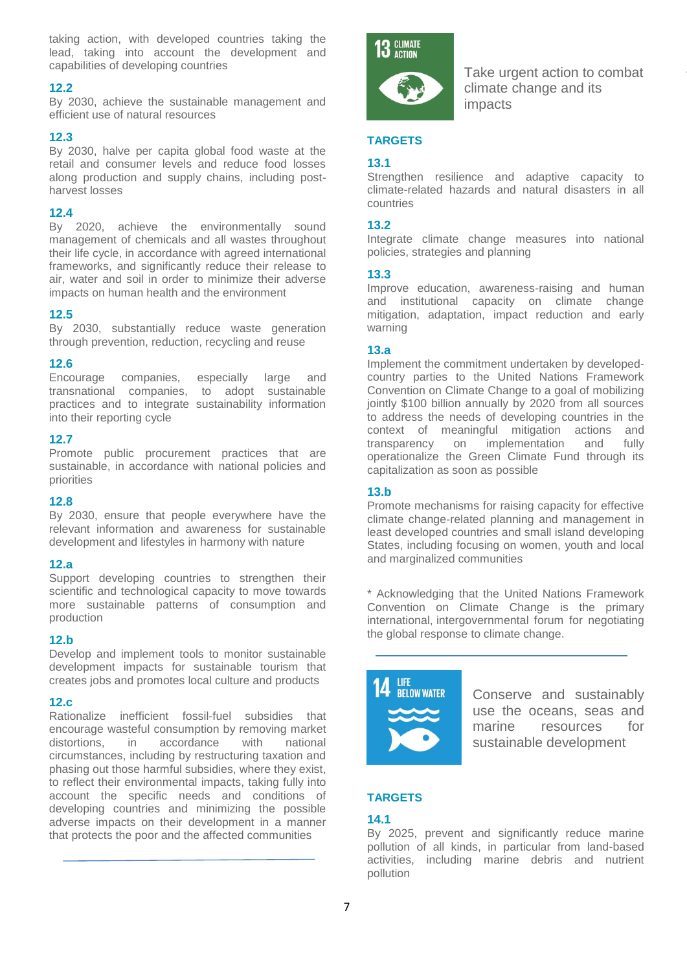taking action, with developed countries taking the lead, taking into account the development and capabilities of developing countries

## **12.2**

By 2030, achieve the sustainable management and efficient use of natural resources

## **12.3**

By 2030, halve per capita global food waste at the retail and consumer levels and reduce food losses along production and supply chains, including postharvest losses

## **12.4**

By 2020, achieve the environmentally sound management of chemicals and all wastes throughout their life cycle, in accordance with agreed international frameworks, and significantly reduce their release to air, water and soil in order to minimize their adverse impacts on human health and the environment

# **12.5**

By 2030, substantially reduce waste generation through prevention, reduction, recycling and reuse

## **12.6**

Encourage companies, especially large and transnational companies, to adopt sustainable practices and to integrate sustainability information into their reporting cycle

## **12.7**

Promote public procurement practices that are sustainable, in accordance with national policies and priorities

## **12.8**

By 2030, ensure that people everywhere have the relevant information and awareness for sustainable development and lifestyles in harmony with nature

## **12.a**

Support developing countries to strengthen their scientific and technological capacity to move towards more sustainable patterns of consumption and production

## **12.b**

Develop and implement tools to monitor sustainable development impacts for sustainable tourism that creates jobs and promotes local culture and products

## **12.c**

Rationalize inefficient fossil-fuel subsidies that encourage wasteful consumption by removing market distortions, in accordance with national circumstances, including by restructuring taxation and phasing out those harmful subsidies, where they exist, to reflect their environmental impacts, taking fully into account the specific needs and conditions of developing countries and minimizing the possible adverse impacts on their development in a manner that protects the poor and the affected communities



Take urgent action to combat climate change and its impacts

## **TARGETS**

## **13.1**

Strengthen resilience and adaptive capacity to climate-related hazards and natural disasters in all countries

## **13.2**

Integrate climate change measures into national policies, strategies and planning

## **13.3**

Improve education, awareness-raising and human and institutional capacity on climate change mitigation, adaptation, impact reduction and early warning

# **13.a**

Implement the commitment undertaken by developedcountry parties to the United Nations Framework Convention on Climate Change to a goal of mobilizing jointly \$100 billion annually by 2020 from all sources to address the needs of developing countries in the context of meaningful mitigation actions and transparency on implementation and fully operationalize the Green Climate Fund through its capitalization as soon as possible

# **13.b**

Promote mechanisms for raising capacity for effective climate change-related planning and management in least developed countries and small island developing States, including focusing on women, youth and local and marginalized communities

\* Acknowledging that the United Nations Framework Convention on Climate Change is the primary international, intergovernmental forum for negotiating the global response to climate change.



Conserve and sustainably use the oceans, seas and marine resources for sustainable development

# **TARGETS**

# **14.1**

By 2025, prevent and significantly reduce marine pollution of all kinds, in particular from land-based activities, including marine debris and nutrient pollution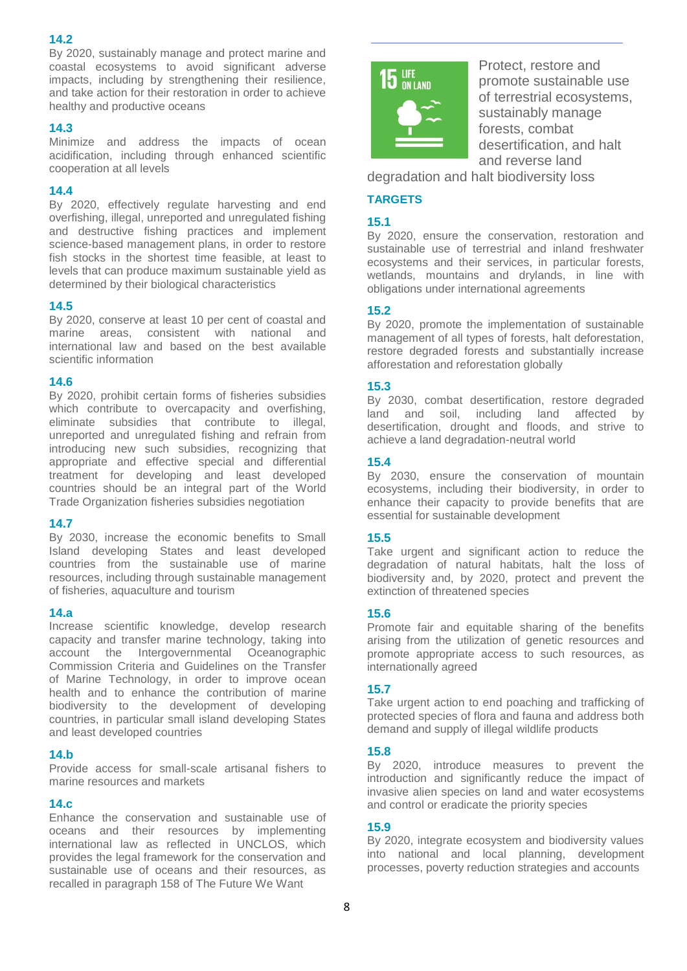By 2020, sustainably manage and protect marine and coastal ecosystems to avoid significant adverse impacts, including by strengthening their resilience, and take action for their restoration in order to achieve healthy and productive oceans

# **14.3**

Minimize and address the impacts of ocean acidification, including through enhanced scientific cooperation at all levels

## **14.4**

By 2020, effectively regulate harvesting and end overfishing, illegal, unreported and unregulated fishing and destructive fishing practices and implement science-based management plans, in order to restore fish stocks in the shortest time feasible, at least to levels that can produce maximum sustainable yield as determined by their biological characteristics

# **14.5**

By 2020, conserve at least 10 per cent of coastal and marine areas, consistent with national and international law and based on the best available scientific information

## **14.6**

By 2020, prohibit certain forms of fisheries subsidies which contribute to overcapacity and overfishing, eliminate subsidies that contribute to illegal, unreported and unregulated fishing and refrain from introducing new such subsidies, recognizing that appropriate and effective special and differential treatment for developing and least developed countries should be an integral part of the World Trade Organization fisheries subsidies negotiation

# **14.7**

By 2030, increase the economic benefits to Small Island developing States and least developed countries from the sustainable use of marine resources, including through sustainable management of fisheries, aquaculture and tourism

## **14.a**

Increase scientific knowledge, develop research capacity and transfer marine technology, taking into account the Intergovernmental Oceanographic Commission Criteria and Guidelines on the Transfer of Marine Technology, in order to improve ocean health and to enhance the contribution of marine biodiversity to the development of developing countries, in particular small island developing States and least developed countries

## **14.b**

Provide access for small-scale artisanal fishers to marine resources and markets

## **14.c**

Enhance the conservation and sustainable use of oceans and their resources by implementing international law as reflected in UNCLOS, which provides the legal framework for the conservation and sustainable use of oceans and their resources, as recalled in paragraph 158 of The Future We Want



Protect, restore and promote sustainable use of terrestrial ecosystems, sustainably manage forests, combat desertification, and halt and reverse land

degradation and halt biodiversity loss

## **TARGETS**

# **15.1**

By 2020, ensure the conservation, restoration and sustainable use of terrestrial and inland freshwater ecosystems and their services, in particular forests, wetlands, mountains and drylands, in line with obligations under international agreements

# **15.2**

By 2020, promote the implementation of sustainable management of all types of forests, halt deforestation, restore degraded forests and substantially increase afforestation and reforestation globally

## **15.3**

By 2030, combat desertification, restore degraded land and soil, including land affected by desertification, drought and floods, and strive to achieve a land degradation-neutral world

## **15.4**

By 2030, ensure the conservation of mountain ecosystems, including their biodiversity, in order to enhance their capacity to provide benefits that are essential for sustainable development

## **15.5**

Take urgent and significant action to reduce the degradation of natural habitats, halt the loss of biodiversity and, by 2020, protect and prevent the extinction of threatened species

## **15.6**

Promote fair and equitable sharing of the benefits arising from the utilization of genetic resources and promote appropriate access to such resources, as internationally agreed

# **15.7**

Take urgent action to end poaching and trafficking of protected species of flora and fauna and address both demand and supply of illegal wildlife products

# **15.8**

By 2020, introduce measures to prevent the introduction and significantly reduce the impact of invasive alien species on land and water ecosystems and control or eradicate the priority species

# **15.9**

By 2020, integrate ecosystem and biodiversity values into national and local planning, development processes, poverty reduction strategies and accounts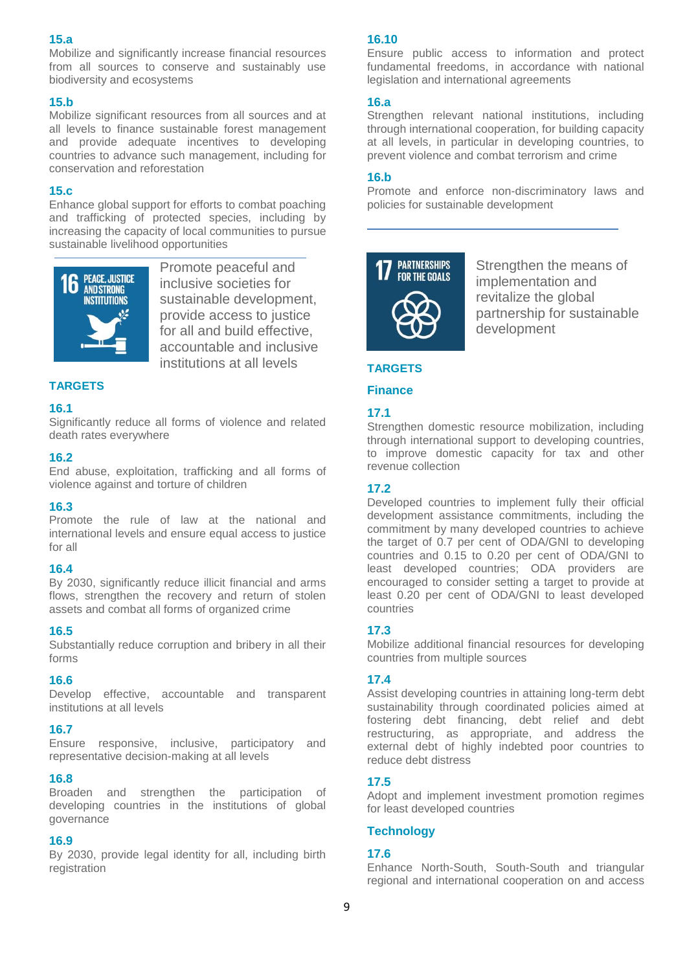# **15.a**

Mobilize and significantly increase financial resources from all sources to conserve and sustainably use biodiversity and ecosystems

## **15.b**

Mobilize significant resources from all sources and at all levels to finance sustainable forest management and provide adequate incentives to developing countries to advance such management, including for conservation and reforestation

## **15.c**

Enhance global support for efforts to combat poaching and trafficking of protected species, including by increasing the capacity of local communities to pursue sustainable livelihood opportunitie[s](https://sustainabledevelopment.un.org/?menu=1300)



Promote peaceful and inclusive societies for sustainable development, provide access to justice for all and build effective, accountable and inclusive institutions at all levels

# **TARGETS**

## **16.1**

Significantly reduce all forms of violence and related death rates everywhere

## **16.2**

End abuse, exploitation, trafficking and all forms of violence against and torture of children

## **16.3**

Promote the rule of law at the national and international levels and ensure equal access to justice for all

## **16.4**

By 2030, significantly reduce illicit financial and arms flows, strengthen the recovery and return of stolen assets and combat all forms of organized crime

#### **16.5**

Substantially reduce corruption and bribery in all their forms

#### **16.6**

Develop effective, accountable and transparent institutions at all levels

## **16.7**

Ensure responsive, inclusive, participatory and representative decision-making at all levels

#### **16.8**

Broaden and strengthen the participation of developing countries in the institutions of global governance

## **16.9**

By 2030, provide legal identity for all, including birth registration

#### **16.10**

Ensure public access to information and protect fundamental freedoms, in accordance with national legislation and international agreements

## **16.a**

Strengthen relevant national institutions, including through international cooperation, for building capacity at all levels, in particular in developing countries, to prevent violence and combat terrorism and crime

## **16.b**

Promote and enforce non-discriminatory laws and policies for sustainable development



Strengthen the means of implementation and revitalize the global partnership for sustainable development

# **TARGETS**

#### **Finance**

## **17.1**

Strengthen domestic resource mobilization, including through international support to developing countries, to improve domestic capacity for tax and other revenue collection

# **17.2**

Developed countries to implement fully their official development assistance commitments, including the commitment by many developed countries to achieve the target of 0.7 per cent of ODA/GNI to developing countries and 0.15 to 0.20 per cent of ODA/GNI to least developed countries; ODA providers are encouraged to consider setting a target to provide at least 0.20 per cent of ODA/GNI to least developed countries

## **17.3**

Mobilize additional financial resources for developing countries from multiple sources

## **17.4**

Assist developing countries in attaining long-term debt sustainability through coordinated policies aimed at fostering debt financing, debt relief and debt restructuring, as appropriate, and address the external debt of highly indebted poor countries to reduce debt distress

## **17.5**

Adopt and implement investment promotion regimes for least developed countries

## **Technology**

## **17.6**

Enhance North-South, South-South and triangular regional and international cooperation on and access